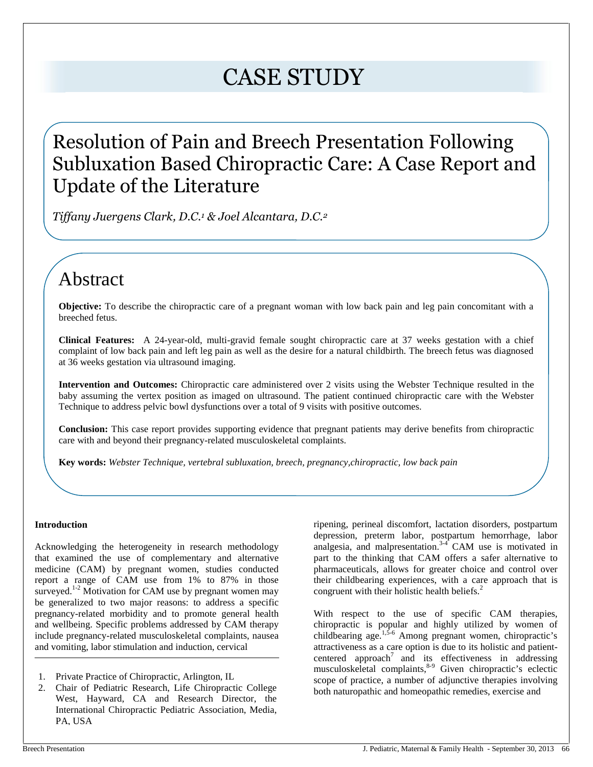# CASE STUDY

# Resolution of Pain and Breech Presentation Following Subluxation Based Chiropractic Care: A Case Report and Update of the Literature

*Tiffany Juergens Clark, D.C.<sup>1</sup> & Joel Alcantara, D.C.<sup>2</sup>*

# Abstract

**Objective:** To describe the chiropractic care of a pregnant woman with low back pain and leg pain concomitant with a breeched fetus.

**Clinical Features:** A 24-year-old, multi-gravid female sought chiropractic care at 37 weeks gestation with a chief complaint of low back pain and left leg pain as well as the desire for a natural childbirth. The breech fetus was diagnosed at 36 weeks gestation via ultrasound imaging.

**Intervention and Outcomes:** Chiropractic care administered over 2 visits using the Webster Technique resulted in the baby assuming the vertex position as imaged on ultrasound. The patient continued chiropractic care with the Webster Technique to address pelvic bowl dysfunctions over a total of 9 visits with positive outcomes.

**Conclusion:** This case report provides supporting evidence that pregnant patients may derive benefits from chiropractic care with and beyond their pregnancy-related musculoskeletal complaints.

**Key words:** *Webster Technique, vertebral subluxation, breech, pregnancy,chiropractic, low back pain*

## **Introduction**

Acknowledging the heterogeneity in research methodology that examined the use of complementary and alternative medicine (CAM) by pregnant women, studies conducted report a range of CAM use from 1% to 87% in those surveyed.<sup>1-2</sup> Motivation for CAM use by pregnant women may be generalized to two major reasons: to address a specific pregnancy-related morbidity and to promote general health and wellbeing. Specific problems addressed by CAM therapy include pregnancy-related musculoskeletal complaints, nausea and vomiting, labor stimulation and induction, cervical

ripening, perineal discomfort, lactation disorders, postpartum depression, preterm labor, postpartum hemorrhage, labor analgesia, and malpresentation.3-4 CAM use is motivated in part to the thinking that CAM offers a safer alternative to pharmaceuticals, allows for greater choice and control over their childbearing experiences, with a care approach that is congruent with their holistic health beliefs.<sup>2</sup>

With respect to the use of specific CAM therapies, chiropractic is popular and highly utilized by women of childbearing age.<sup>1,5-6</sup> Among pregnant women, chiropractic's attractiveness as a care option is due to its holistic and patient centered approach<sup>7</sup> and its effectiveness in addressing musculoskeletal complaints,<sup>8-9</sup> Given chiropractic's eclectic scope of practice, a number of adjunctive therapies involving both naturopathic and homeopathic remedies, exercise and

<sup>1.</sup> Private Practice of Chiropractic, Arlington, IL

<sup>2.</sup> Chair of Pediatric Research, Life Chiropractic College West, Hayward, CA and Research Director, the International Chiropractic Pediatric Association, Media, PA, USA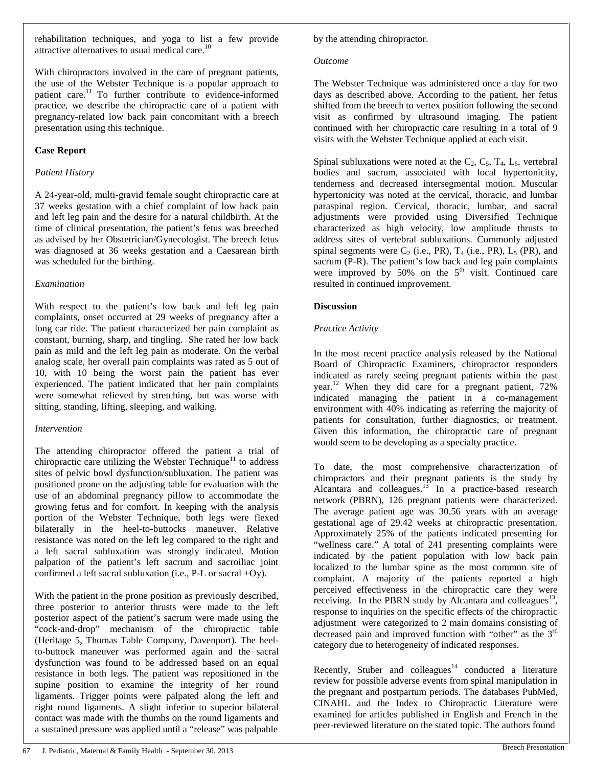rehabilitation techniques, and yoga to list a few provide attractive alternatives to usual medical care.<sup>10</sup>

With chiropractors involved in the care of pregnant patients, the use of the Webster Technique is a popular approach to patient care.<sup>11</sup> To further contribute to evidence-informed practice, we describe the chiropractic care of a patient with pregnancy-related low back pain concomitant with a breech presentation using this technique.

#### **Case Report**

#### *Patient History*

A 24-year-old, multi-gravid female sought chiropractic care at 37 weeks gestation with a chief complaint of low back pain and left leg pain and the desire for a natural childbirth. At the time of clinical presentation, the patient's fetus was breeched as advised by her Obstetrician/Gynecologist. The breech fetus was diagnosed at 36 weeks gestation and a Caesarean birth was scheduled for the birthing.

#### *Examination*

With respect to the patient's low back and left leg pain complaints, onset occurred at 29 weeks of pregnancy after a long car ride. The patient characterized her pain complaint as constant, burning, sharp, and tingling. She rated her low back pain as mild and the left leg pain as moderate. On the verbal analog scale, her overall pain complaints was rated as 5 out of 10, with 10 being the worst pain the patient has ever experienced. The patient indicated that her pain complaints were somewhat relieved by stretching, but was worse with sitting, standing, lifting, sleeping, and walking.

## *Intervention*

The attending chiropractor offered the patient a trial of chiropractic care utilizing the Webster Technique<sup>11</sup> to address sites of pelvic bowl dysfunction/subluxation. The patient was positioned prone on the adjusting table for evaluation with the use of an abdominal pregnancy pillow to accommodate the growing fetus and for comfort. In keeping with the analysis portion of the Webster Technique, both legs were flexed bilaterally in the heel-to-buttocks maneuver. Relative resistance was noted on the left leg compared to the right and a left sacral subluxation was strongly indicated. Motion palpation of the patient's left sacrum and sacroiliac joint confirmed a left sacral subluxation (i.e., P-L or sacral  $+\Theta$ y).

With the patient in the prone position as previously described, three posterior to anterior thrusts were made to the left posterior aspect of the patient's sacrum were made using the "cock-and-drop" mechanism of the chiropractic table (Heritage 5, Thomas Table Company, Davenport). The heelto-buttock maneuver was performed again and the sacral dysfunction was found to be addressed based on an equal resistance in both legs. The patient was repositioned in the supine position to examine the integrity of her round ligaments. Trigger points were palpated along the left and right round ligaments. A slight inferior to superior bilateral contact was made with the thumbs on the round ligaments and a sustained pressure was applied until a "release" was palpable

by the attending chiropractor.

#### *Outcome*

The Webster Technique was administered once a day for two days as described above. According to the patient, her fetus shifted from the breech to vertex position following the second visit as confirmed by ultrasound imaging. The patient continued with her chiropractic care resulting in a total of 9 visits with the Webster Technique applied at each visit.

Spinal subluxations were noted at the  $C_2$ ,  $C_5$ ,  $T_4$ ,  $L_5$ , vertebral bodies and sacrum, associated with local hypertonicity, tenderness and decreased intersegmental motion. Muscular hypertonicity was noted at the cervical, thoracic, and lumbar paraspinal region. Cervical, thoracic, lumbar, and sacral adjustments were provided using Diversified Technique characterized as high velocity, low amplitude thrusts to address sites of vertebral subluxations. Commonly adjusted spinal segments were  $C_2$  (i.e., PR),  $T_4$  (i.e., PR),  $L_5$  (PR), and sacrum (P-R). The patient's low back and leg pain complaints were improved by  $50\%$  on the  $5<sup>th</sup>$  visit. Continued care resulted in continued improvement.

# **Discussion**

## *Practice Activity*

In the most recent practice analysis released by the National Board of Chiropractic Examiners, chiropractor responders indicated as rarely seeing pregnant patients within the past year.<sup>12</sup> When they did care for a pregnant patient, 72% indicated managing the patient in a co-management environment with 40% indicating as referring the majority of patients for consultation, further diagnostics, or treatment. Given this information, the chiropractic care of pregnant would seem to be developing as a specialty practice.

To date, the most comprehensive characterization of chiropractors and their pregnant patients is the study by Alcantara and colleagues. $13$  In a practice-based research network (PBRN), 126 pregnant patients were characterized. The average patient age was 30.56 years with an average gestational age of 29.42 weeks at chiropractic presentation. Approximately 25% of the patients indicated presenting for "wellness care." A total of 241 presenting complaints were indicated by the patient population with low back pain localized to the lumbar spine as the most common site of complaint. A majority of the patients reported a high perceived effectiveness in the chiropractic care they were receiving. In the PBRN study by Alcantara and colleagues<sup>13</sup>, response to inquiries on the specific effects of the chiropractic adjustment were categorized to 2 main domains consisting of decreased pain and improved function with "other" as the 3<sup>rd</sup> category due to heterogeneity of indicated responses.

Recently, Stuber and  $\text{colleagues}^{14}$  conducted a literature review for possible adverse events from spinal manipulation in the pregnant and postpartum periods. The databases PubMed, CINAHL and the Index to Chiropractic Literature were examined for articles published in English and French in the peer-reviewed literature on the stated topic. The authors found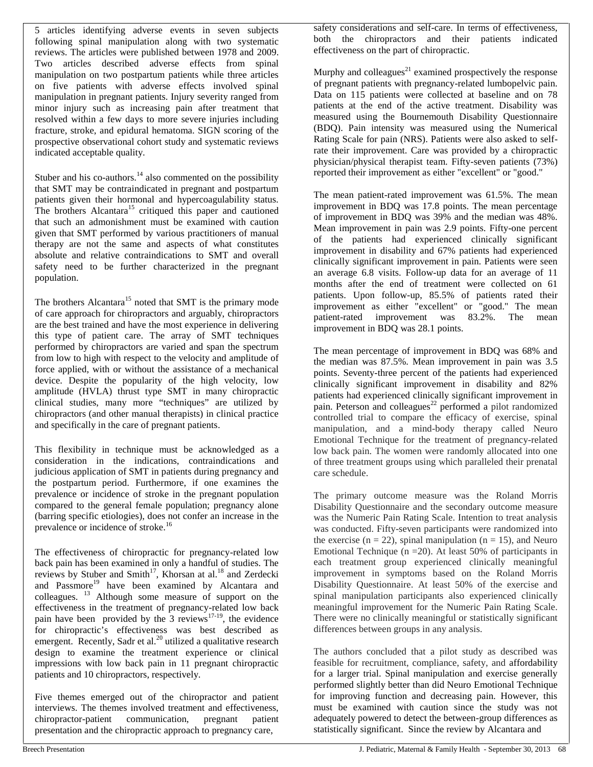5 articles identifying adverse events in seven subjects following spinal manipulation along with two systematic reviews. The articles were published between 1978 and 2009. Two articles described adverse effects from spinal manipulation on two postpartum patients while three articles on five patients with adverse effects involved spinal manipulation in pregnant patients. Injury severity ranged from minor injury such as increasing pain after treatment that resolved within a few days to more severe injuries including fracture, stroke, and epidural hematoma. SIGN scoring of the prospective observational cohort study and systematic reviews indicated acceptable quality.

Stuber and his co-authors. $14$  also commented on the possibility that SMT may be contraindicated in pregnant and postpartum patients given their hormonal and hypercoagulability status. The brothers Alcantara<sup>15</sup> critiqued this paper and cautioned that such an admonishment must be examined with caution given that SMT performed by various practitioners of manual therapy are not the same and aspects of what constitutes absolute and relative contraindications to SMT and overall safety need to be further characterized in the pregnant population.

The brothers Alcantara<sup>15</sup> noted that SMT is the primary mode of care approach for chiropractors and arguably, chiropractors are the best trained and have the most experience in delivering this type of patient care. The array of SMT techniques performed by chiropractors are varied and span the spectrum from low to high with respect to the velocity and amplitude of force applied, with or without the assistance of a mechanical device. Despite the popularity of the high velocity, low amplitude (HVLA) thrust type SMT in many chiropractic clinical studies, many more "techniques" are utilized by chiropractors (and other manual therapists) in clinical practice and specifically in the care of pregnant patients.

This flexibility in technique must be acknowledged as a consideration in the indications, contraindications and judicious application of SMT in patients during pregnancy and the postpartum period. Furthermore, if one examines the prevalence or incidence of stroke in the pregnant population compared to the general female population; pregnancy alone (barring specific etiologies), does not confer an increase in the prevalence or incidence of stroke.<sup>16</sup>

The effectiveness of chiropractic for pregnancy-related low back pain has been examined in only a handful of studies. The reviews by Stuber and Smith<sup>17</sup>, Khorsan at al.<sup>18</sup> and Zerdecki and Passmore<sup>19</sup> have been examined by Alcantara and colleagues. <sup>13</sup> Although some measure of support on the effectiveness in the treatment of pregnancy-related low back pain have been provided by the  $3$  reviews<sup>17-19</sup>, the evidence for chiropractic's effectiveness was best described as emergent. Recently, Sadr et al.<sup>20</sup> utilized a qualitative research design to examine the treatment experience or clinical impressions with low back pain in 11 pregnant chiropractic patients and 10 chiropractors, respectively.

Five themes emerged out of the chiropractor and patient interviews. The themes involved treatment and effectiveness, chiropractor-patient communication, pregnant patient presentation and the chiropractic approach to pregnancy care,

safety considerations and self-care. In terms of effectiveness, both the chiropractors and their patients indicated effectiveness on the part of chiropractic.

Murphy and colleagues<sup>21</sup> examined prospectively the response of pregnant patients with pregnancy-related lumbopelvic pain. Data on 115 patients were collected at baseline and on 78 patients at the end of the active treatment. Disability was measured using the Bournemouth Disability Questionnaire (BDQ). Pain intensity was measured using the Numerical Rating Scale for pain (NRS). Patients were also asked to selfrate their improvement. Care was provided by a chiropractic physician/physical therapist team. Fifty-seven patients (73%) reported their improvement as either "excellent" or "good."

The mean patient-rated improvement was 61.5%. The mean improvement in BDQ was 17.8 points. The mean percentage of improvement in BDQ was 39% and the median was 48%. Mean improvement in pain was 2.9 points. Fifty-one percent of the patients had experienced clinically significant improvement in disability and 67% patients had experienced clinically significant improvement in pain. Patients were seen an average 6.8 visits. Follow-up data for an average of 11 months after the end of treatment were collected on 61 patients. Upon follow-up, 85.5% of patients rated their improvement as either "excellent" or "good." The mean patient-rated improvement was 83.2%. The mean improvement in BDQ was 28.1 points.

The mean percentage of improvement in BDQ was 68% and the median was 87.5%. Mean improvement in pain was 3.5 points. Seventy-three percent of the patients had experienced clinically significant improvement in disability and 82% patients had experienced clinically significant improvement in pain. Peterson and colleagues<sup>22</sup> performed a pilot randomized controlled trial to compare the efficacy of exercise, spinal manipulation, and a mind-body therapy called Neuro Emotional Technique for the treatment of pregnancy-related low back pain. The women were randomly allocated into one of three treatment groups using which paralleled their prenatal care schedule.

The primary outcome measure was the Roland Morris Disability Questionnaire and the secondary outcome measure was the Numeric Pain Rating Scale. Intention to treat analysis was conducted. Fifty-seven participants were randomized into the exercise ( $n = 22$ ), spinal manipulation ( $n = 15$ ), and Neuro Emotional Technique ( $n = 20$ ). At least 50% of participants in each treatment group experienced clinically meaningful improvement in symptoms based on the Roland Morris Disability Questionnaire. At least 50% of the exercise and spinal manipulation participants also experienced clinically meaningful improvement for the Numeric Pain Rating Scale. There were no clinically meaningful or statistically significant differences between groups in any analysis.

The authors concluded that a pilot study as described was feasible for recruitment, compliance, safety, and affordability for a larger trial. Spinal manipulation and exercise generally performed slightly better than did Neuro Emotional Technique for improving function and decreasing pain. However, this must be examined with caution since the study was not adequately powered to detect the between-group differences as statistically significant. Since the review by Alcantara and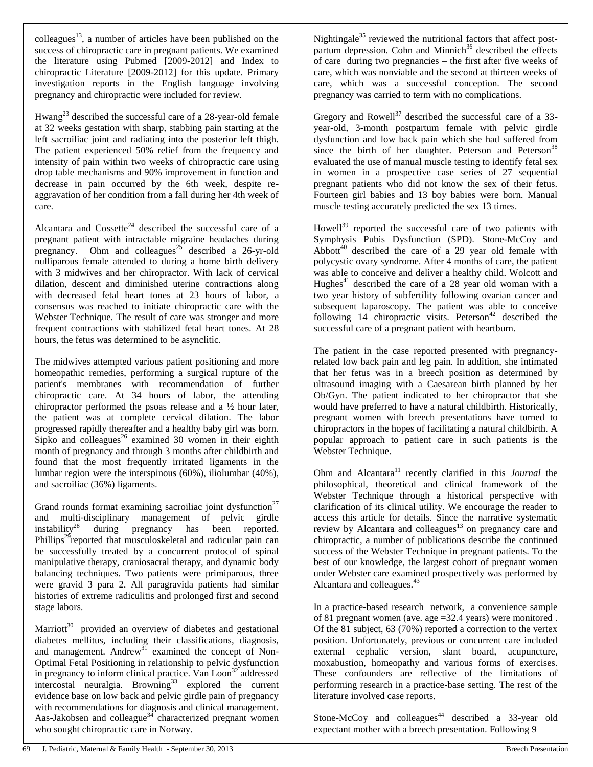colleagues<sup>13</sup>, a number of articles have been published on the success of chiropractic care in pregnant patients. We examined the literature using Pubmed [2009-2012] and Index to chiropractic Literature [2009-2012] for this update. Primary investigation reports in the English language involving pregnancy and chiropractic were included for review.

Hwang<sup>23</sup> described the successful care of a 28-year-old female at 32 weeks gestation with sharp, stabbing pain starting at the left sacroiliac joint and radiating into the posterior left thigh. The patient experienced 50% relief from the frequency and intensity of pain within two weeks of chiropractic care using drop table mechanisms and 90% improvement in function and decrease in pain occurred by the 6th week, despite re aggravation of her condition from a fall during her 4th week of care.

Alcantara and  $Cossette^{24}$  described the successful care of a pregnant patient with intractable migraine headaches during pregnancy. Ohm and colleagues<sup>25</sup> described a 26-yr-old nulliparous female attended to during a home birth delivery with 3 midwives and her chiropractor. With lack of cervical dilation, descent and diminished uterine contractions along with decreased fetal heart tones at 23 hours of labor, a consensus was reached to initiate chiropractic care with the Webster Technique. The result of care was stronger and more frequent contractions with stabilized fetal heart tones. At 28 hours, the fetus was determined to be asynclitic.

The midwives attempted various patient positioning and more homeopathic remedies, performing a surgical rupture of the patient's membranes with recommendation of further chiropractic care. At 34 hours of labor, the attending chiropractor performed the psoas release and a ½ hour later, the patient was at complete cervical dilation. The labor progressed rapidly thereafter and a healthy baby girl was born. Sipko and colleagues<sup>26</sup> examined 30 women in their eighth month of pregnancy and through 3 months after childbirth and found that the most frequently irritated ligaments in the lumbar region were the interspinous (60%), iliolumbar (40%), and sacroiliac (36%) ligaments.

Grand rounds format examining sacroiliac joint dysfunction<sup>27</sup> and multi-disciplinary management of pelvic girdle instability<sup>28</sup> during pregnancy has been reported. Phillips<sup>29</sup>reported that musculoskeletal and radicular pain can be successfully treated by a concurrent protocol of spinal manipulative therapy, craniosacral therapy, and dynamic body balancing techniques. Two patients were primiparous, three were gravid 3 para 2. All paragravida patients had similar histories of extreme radiculitis and prolonged first and second stage labors.

Marriott<sup>30</sup> provided an overview of diabetes and gestational diabetes mellitus, including their classifications, diagnosis, and management. Andrew $^{31}$  examined the concept of Non-Optimal Fetal Positioning in relationship to pelvic dysfunction in pregnancy to inform clinical practice. Van Loon<sup>32</sup> addressed intercostal neuralgia. Browning<sup>33</sup> explored the current evidence base on low back and pelvic girdle pain of pregnancy with recommendations for diagnosis and clinical management. Aas-Jakobsen and colleague<sup>34</sup> characterized pregnant women who sought chiropractic care in Norway.

Nightingale<sup>35</sup> reviewed the nutritional factors that affect postpartum depression. Cohn and Minnich<sup>36</sup> described the effects of care during two pregnancies – the first after five weeks of care, which was nonviable and the second at thirteen weeks of care, which was a successful conception. The second pregnancy was carried to term with no complications.

Gregory and Rowell<sup>37</sup> described the successful care of a 33year-old, 3-month postpartum female with pelvic girdle dysfunction and low back pain which she had suffered from since the birth of her daughter. Peterson and Peterson<sup>38</sup> evaluated the use of manual muscle testing to identify fetal sex in women in a prospective case series of 27 sequential pregnant patients who did not know the sex of their fetus. Fourteen girl babies and 13 boy babies were born. Manual muscle testing accurately predicted the sex 13 times.

Howell<sup>39</sup> reported the successful care of two patients with Symphysis Pubis Dysfunction (SPD). Stone-McCoy and Abbott $^{40}$  described the care of a 29 year old female with polycystic ovary syndrome. After 4 months of care, the patient was able to conceive and deliver a healthy child. Wolcott and Hughes $41$  described the care of a 28 year old woman with a two year history of subfertility following ovarian cancer and subsequent laparoscopy. The patient was able to conceive following  $14$  chiropractic visits. Peterson<sup>42</sup> described the successful care of a pregnant patient with heartburn.

The patient in the case reported presented with pregnancyrelated low back pain and leg pain. In addition, she intimated that her fetus was in a breech position as determined by ultrasound imaging with a Caesarean birth planned by her Ob/Gyn. The patient indicated to her chiropractor that she would have preferred to have a natural childbirth. Historically, pregnant women with breech presentations have turned to chiropractors in the hopes of facilitating a natural childbirth. A popular approach to patient care in such patients is the Webster Technique.

Ohm and Alcantara<sup>11</sup> recently clarified in this *Journal* the philosophical, theoretical and clinical framework of the Webster Technique through a historical perspective with clarification of its clinical utility. We encourage the reader to access this article for details. Since the narrative systematic review by Alcantara and colleagues<sup>13</sup> on pregnancy care and chiropractic, a number of publications describe the continued success of the Webster Technique in pregnant patients. To the best of our knowledge, the largest cohort of pregnant women under Webster care examined prospectively was performed by Alcantara and colleagues.<sup>43</sup>

In a practice-based research network, a convenience sample of 81 pregnant women (ave. age =32.4 years) were monitored . Of the 81 subject, 63 (70%) reported a correction to the vertex position. Unfortunately, previous or concurrent care included external cephalic version, slant board, acupuncture, moxabustion, homeopathy and various forms of exercises. These confounders are reflective of the limitations of performing research in a practice-base setting. The rest of the literature involved case reports.

Stone-McCoy and colleagues<sup>44</sup> described a 33-year old expectant mother with a breech presentation. Following 9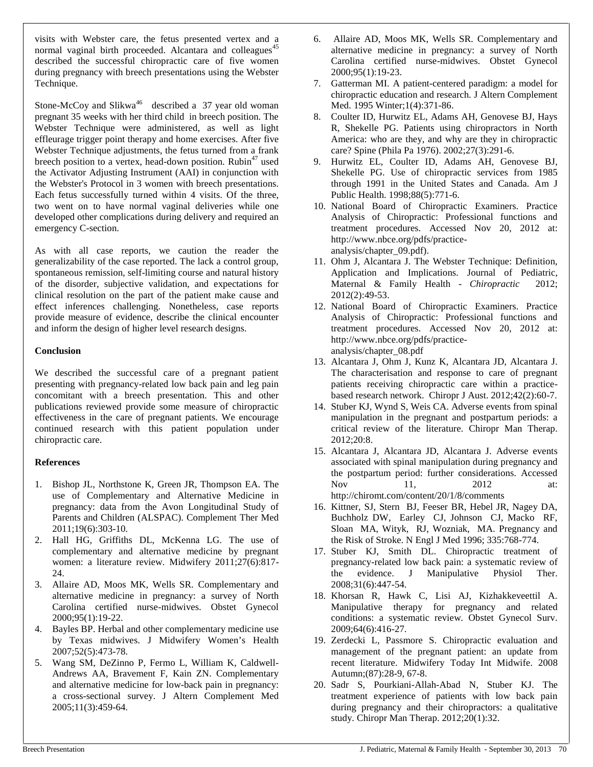visits with Webster care, the fetus presented vertex and a normal vaginal birth proceeded. Alcantara and colleagues<sup>45</sup> described the successful chiropractic care of five women during pregnancy with breech presentations using the Webster Technique.

Stone-McCoy and Slikwa<sup>46</sup> described a  $37$  year old woman pregnant 35 weeks with her third child in breech position. The Webster Technique were administered, as well as light effleurage trigger point therapy and home exercises. After five Webster Technique adjustments, the fetus turned from a frank breech position to a vertex, head-down position. Rubin<sup>47</sup> used 9. the Activator Adjusting Instrument (AAI) in conjunction with the Webster's Protocol in 3 women with breech presentations. Each fetus successfully turned within 4 visits. Of the three, two went on to have normal vaginal deliveries while one developed other complications during delivery and required an emergency C-section.

As with all case reports, we caution the reader the generalizability of the case reported. The lack a control group, spontaneous remission, self-limiting course and natural history of the disorder, subjective validation, and expectations for clinical resolution on the part of the patient make cause and effect inferences challenging. Nonetheless, case reports provide measure of evidence, describe the clinical encounter and inform the design of higher level research designs.

#### **Conclusion**

We described the successful care of a pregnant patient presenting with pregnancy-related low back pain and leg pain concomitant with a breech presentation. This and other publications reviewed provide some measure of chiropractic effectiveness in the care of pregnant patients. We encourage continued research with this patient population under chiropractic care.

## **References**

- 1. Bishop JL, Northstone K, Green JR, Thompson EA. The use of Complementary and Alternative Medicine in pregnancy: data from the Avon Longitudinal Study of Parents and Children (ALSPAC). Complement Ther Med 2011;19(6):303-10.
- 2. Hall HG, Griffiths DL, McKenna LG. The use of complementary and alternative medicine by pregnant women: a literature review. Midwifery 2011;27(6):817-  $24.$
- 3. Allaire AD, Moos MK, Wells SR. Complementary and alternative medicine in pregnancy: a survey of North Carolina certified nurse-midwives. Obstet Gynecol 2000;95(1):19-22.
- 4. Bayles BP. Herbal and other complementary medicine use by Texas midwives. J Midwifery Women's Health 2007;52(5):473-78.
- 5. Wang SM, DeZinno P, Fermo L, William K, Caldwell- Andrews AA, Bravement F, Kain ZN. Complementary and alternative medicine for low-back pain in pregnancy: a cross-sectional survey. J Altern Complement Med 2005;11(3):459-64.
- 6. Allaire AD, Moos MK, Wells SR. Complementary and alternative medicine in pregnancy: a survey of North Carolina certified nurse-midwives. Obstet Gynecol 2000;95(1):19-23.
- 7. Gatterman MI. A patient-centered paradigm: a model for chiropractic education and research. J Altern Complement Med. 1995 Winter;1(4):371-86.
- 8. Coulter ID, Hurwitz EL, Adams AH, Genovese BJ, Hays R, Shekelle PG. Patients using chiropractors in North America: who are they, and why are they in chiropractic care? Spine (Phila Pa 1976). 2002;27(3):291-6.
- 9. Hurwitz EL, Coulter ID, Adams AH, Genovese BJ, Shekelle PG. Use of chiropractic services from 1985 through 1991 in the United States and Canada. Am J Public Health. 1998;88(5):771-6.
- 10. National Board of Chiropractic Examiners. Practice Analysis of Chiropractic: Professional functions and treatment procedures. Accessed Nov 20, 2012 at: http://www.nbce.org/pdfs/practice analysis/chapter\_09.pdf).
- 11. Ohm J, Alcantara J. The Webster Technique: Definition, Application and Implications. Journal of Pediatric, Maternal & Family Health - *Chiropractic* 2012; 2012(2):49-53.
- 12. National Board of Chiropractic Examiners. Practice Analysis of Chiropractic: Professional functions and treatment procedures. Accessed Nov 20, 2012 at: http://www.nbce.org/pdfs/practice analysis/chapter\_08.pdf
- 13. Alcantara J, Ohm J, Kunz K, Alcantara JD, Alcantara J. The characterisation and response to care of pregnant patients receiving chiropractic care within a practice based research network. Chiropr J Aust. 2012;42(2):60-7.
- 14. Stuber KJ, Wynd S, Weis CA. Adverse events from spinal manipulation in the pregnant and postpartum periods: a critical review of the literature. Chiropr Man Therap. 2012;20:8.
- 15. Alcantara J, Alcantara JD, Alcantara J. Adverse events associated with spinal manipulation during pregnancy and the postpartum period: further considerations. Accessed Nov 11, 2012 at: http://chiromt.com/content/20/1/8/comments
- 16. Kittner, SJ, Stern BJ, Feeser BR, Hebel JR, Nagey DA, Buchholz DW, Earley CJ, Johnson CJ, Macko RF, Sloan MA, Wityk, RJ, Wozniak, MA. Pregnancy and the Risk of Stroke. N Engl J Med 1996; 335:768-774.
- 17. Stuber KJ, Smith DL. Chiropractic treatment of pregnancy-related low back pain: a systematic review of the evidence. J Manipulative Physiol Ther. 2008;31(6):447-54.
- 18. Khorsan R, Hawk C, Lisi AJ, Kizhakkeveettil A. Manipulative therapy for pregnancy and related conditions: a systematic review. Obstet Gynecol Surv. 2009;64(6):416-27.
- 19. Zerdecki L, Passmore S. Chiropractic evaluation and management of the pregnant patient: an update from recent literature. Midwifery Today Int Midwife. 2008 Autumn;(87):28-9, 67-8.
- 20. Sadr S, Pourkiani-Allah-Abad N, Stuber KJ. The treatment experience of patients with low back pain during pregnancy and their chiropractors: a qualitative study. Chiropr Man Therap. 2012;20(1):32.